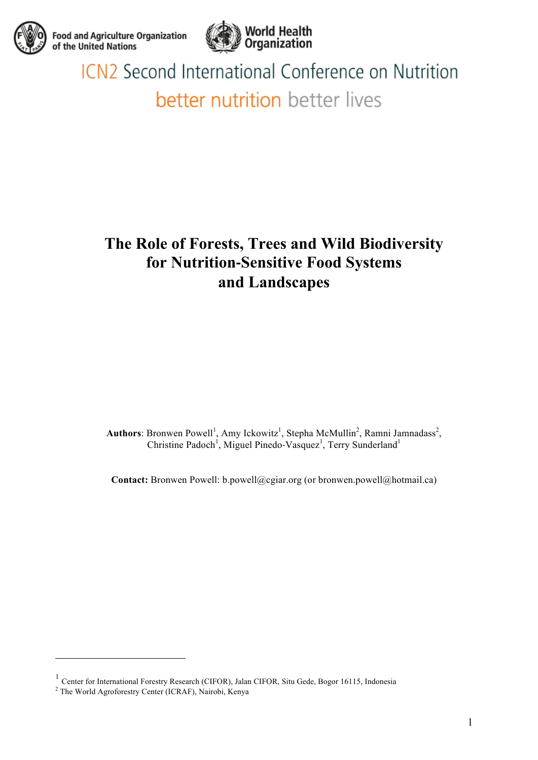



# ICN2 Second International Conference on Nutrition better nutrition better lives

# **The Role of Forests, Trees and Wild Biodiversity for Nutrition-Sensitive Food Systems and Landscapes**

**Authors**: Bronwen Powell<sup>1</sup>, Amy Ickowitz<sup>1</sup>, Stepha McMullin<sup>2</sup>, Ramni Jamnadass<sup>2</sup>, Christine Padoch<sup>1</sup>, Miguel Pinedo-Vasquez<sup>1</sup>, Terry Sunderland<sup>1</sup>

**Contact:** Bronwen Powell: b.powell@cgiar.org (or bronwen.powell@hotmail.ca)

 $\overline{a}$ 

<sup>&</sup>lt;sup>1</sup> Center for International Forestry Research (CIFOR), Jalan CIFOR, Situ Gede, Bogor 16115, Indonesia

<sup>2</sup> The World Agroforestry Center (ICRAF), Nairobi, Kenya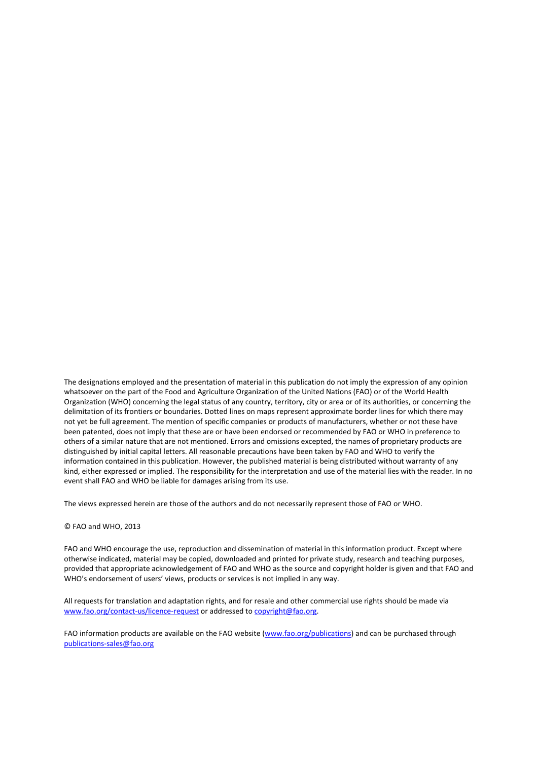The designations employed and the presentation of material in this publication do not imply the expression of any opinion whatsoever on the part of the Food and Agriculture Organization of the United Nations (FAO) or of the World Health Organization (WHO) concerning the legal status of any country, territory, city or area or of its authorities, or concerning the delimitation of its frontiers or boundaries. Dotted lines on maps represent approximate border lines for which there may not yet be full agreement. The mention of specific companies or products of manufacturers, whether or not these have been patented, does not imply that these are or have been endorsed or recommended by FAO or WHO in preference to others of a similar nature that are not mentioned. Errors and omissions excepted, the names of proprietary products are distinguished by initial capital letters. All reasonable precautions have been taken by FAO and WHO to verify the information contained in this publication. However, the published material is being distributed without warranty of any kind, either expressed or implied. The responsibility for the interpretation and use of the material lies with the reader. In no event shall FAO and WHO be liable for damages arising from its use.

The views expressed herein are those of the authors and do not necessarily represent those of FAO or WHO.

#### © FAO and WHO, 2013

FAO and WHO encourage the use, reproduction and dissemination of material in this information product. Except where otherwise indicated, material may be copied, downloaded and printed for private study, research and teaching purposes, provided that appropriate acknowledgement of FAO and WHO as the source and copyright holder is given and that FAO and WHO's endorsement of users' views, products or services is not implied in any way.

All requests for translation and adaptation rights, and for resale and other commercial use rights should be made via www.fao.org/contact-us/licence-request or addressed to copyright@fao.org.

FAO information products are available on the FAO website (www.fao.org/publications) and can be purchased through publications-sales@fao.org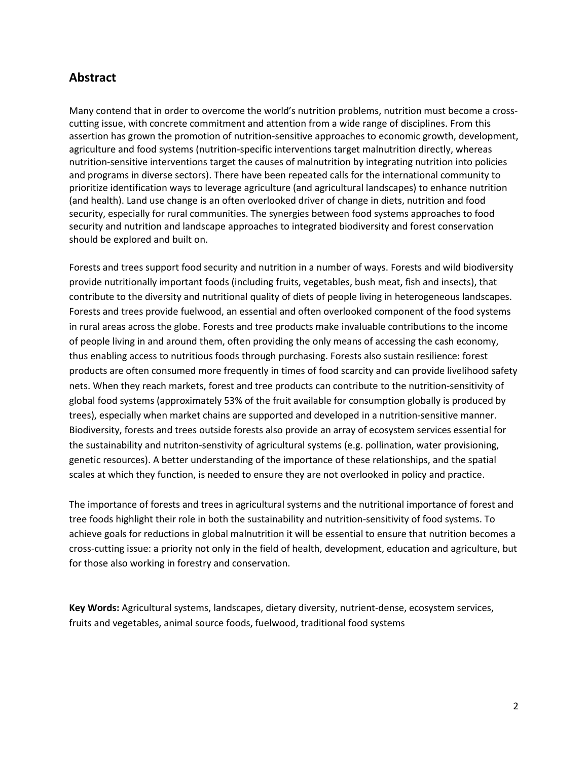# **Abstract**

Many contend that in order to overcome the world's nutrition problems, nutrition must become a crosscutting issue, with concrete commitment and attention from a wide range of disciplines. From this assertion has grown the promotion of nutrition-sensitive approaches to economic growth, development, agriculture and food systems (nutrition-specific interventions target malnutrition directly, whereas nutrition-sensitive interventions target the causes of malnutrition by integrating nutrition into policies and programs in diverse sectors). There have been repeated calls for the international community to prioritize identification ways to leverage agriculture (and agricultural landscapes) to enhance nutrition (and health). Land use change is an often overlooked driver of change in diets, nutrition and food security, especially for rural communities. The synergies between food systems approaches to food security and nutrition and landscape approaches to integrated biodiversity and forest conservation should be explored and built on.

Forests and trees support food security and nutrition in a number of ways. Forests and wild biodiversity provide nutritionally important foods (including fruits, vegetables, bush meat, fish and insects), that contribute to the diversity and nutritional quality of diets of people living in heterogeneous landscapes. Forests and trees provide fuelwood, an essential and often overlooked component of the food systems in rural areas across the globe. Forests and tree products make invaluable contributions to the income of people living in and around them, often providing the only means of accessing the cash economy, thus enabling access to nutritious foods through purchasing. Forests also sustain resilience: forest products are often consumed more frequently in times of food scarcity and can provide livelihood safety nets. When they reach markets, forest and tree products can contribute to the nutrition-sensitivity of global food systems (approximately 53% of the fruit available for consumption globally is produced by trees), especially when market chains are supported and developed in a nutrition-sensitive manner. Biodiversity, forests and trees outside forests also provide an array of ecosystem services essential for the sustainability and nutriton-senstivity of agricultural systems (e.g. pollination, water provisioning, genetic resources). A better understanding of the importance of these relationships, and the spatial scales at which they function, is needed to ensure they are not overlooked in policy and practice.

The importance of forests and trees in agricultural systems and the nutritional importance of forest and tree foods highlight their role in both the sustainability and nutrition-sensitivity of food systems. To achieve goals for reductions in global malnutrition it will be essential to ensure that nutrition becomes a cross-cutting issue: a priority not only in the field of health, development, education and agriculture, but for those also working in forestry and conservation.

**Key Words:** Agricultural systems, landscapes, dietary diversity, nutrient-dense, ecosystem services, fruits and vegetables, animal source foods, fuelwood, traditional food systems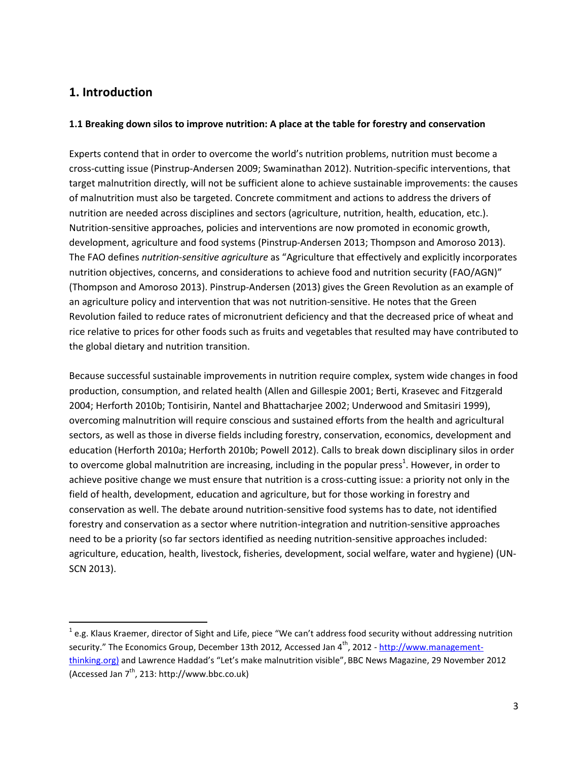# **1. Introduction**

### **1.1 Breaking down silos to improve nutrition: A place at the table for forestry and conservation**

Experts contend that in order to overcome the world's nutrition problems, nutrition must become a cross-cutting issue (Pinstrup-Andersen 2009; Swaminathan 2012). Nutrition-specific interventions, that target malnutrition directly, will not be sufficient alone to achieve sustainable improvements: the causes of malnutrition must also be targeted. Concrete commitment and actions to address the drivers of nutrition are needed across disciplines and sectors (agriculture, nutrition, health, education, etc.). Nutrition-sensitive approaches, policies and interventions are now promoted in economic growth, development, agriculture and food systems (Pinstrup-Andersen 2013; Thompson and Amoroso 2013). The FAO defines *nutrition-sensitive agriculture* as "Agriculture that effectively and explicitly incorporates nutrition objectives, concerns, and considerations to achieve food and nutrition security (FAO/AGN)" (Thompson and Amoroso 2013). Pinstrup-Andersen (2013) gives the Green Revolution as an example of an agriculture policy and intervention that was not nutrition-sensitive. He notes that the Green Revolution failed to reduce rates of micronutrient deficiency and that the decreased price of wheat and rice relative to prices for other foods such as fruits and vegetables that resulted may have contributed to the global dietary and nutrition transition.

Because successful sustainable improvements in nutrition require complex, system wide changes in food production, consumption, and related health (Allen and Gillespie 2001; Berti, Krasevec and Fitzgerald 2004; Herforth 2010b; Tontisirin, Nantel and Bhattacharjee 2002; Underwood and Smitasiri 1999), overcoming malnutrition will require conscious and sustained efforts from the health and agricultural sectors, as well as those in diverse fields including forestry, conservation, economics, development and education (Herforth 2010a; Herforth 2010b; Powell 2012). Calls to break down disciplinary silos in order to overcome global malnutrition are increasing, including in the popular press<sup>1</sup>. However, in order to achieve positive change we must ensure that nutrition is a cross-cutting issue: a priority not only in the field of health, development, education and agriculture, but for those working in forestry and conservation as well. The debate around nutrition-sensitive food systems has to date, not identified forestry and conservation as a sector where nutrition-integration and nutrition-sensitive approaches need to be a priority (so far sectors identified as needing nutrition-sensitive approaches included: agriculture, education, health, livestock, fisheries, development, social welfare, water and hygiene) (UN-SCN 2013).

 $\overline{\phantom{a}}$  $1$  e.g. Klaus Kraemer, director of Sight and Life, piece "We can't address food security without addressing nutrition security." The Economics Group, December 13th 2012*,* Accessed Jan 4th, 2012 - http://www.managementthinking.org) and Lawrence Haddad's "Let's make malnutrition visible", BBC News Magazine, 29 November 2012 (Accessed Jan  $7<sup>th</sup>$ , 213: http://www.bbc.co.uk)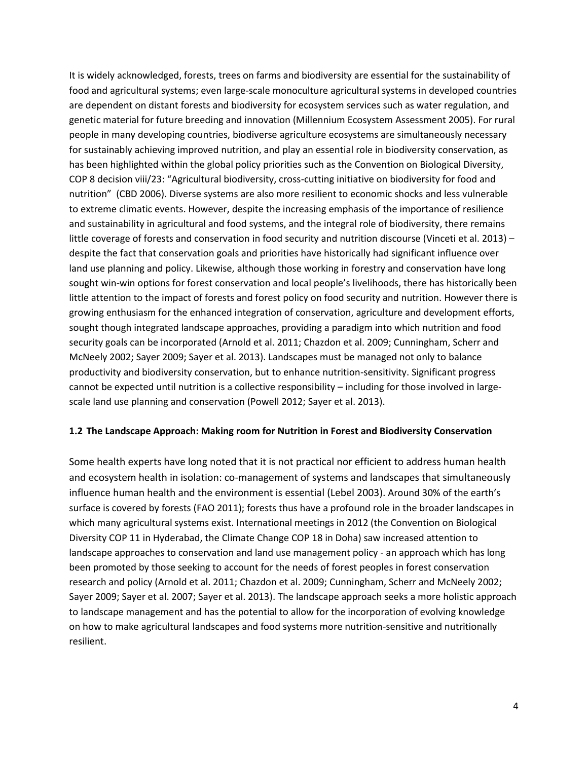It is widely acknowledged, forests, trees on farms and biodiversity are essential for the sustainability of food and agricultural systems; even large-scale monoculture agricultural systems in developed countries are dependent on distant forests and biodiversity for ecosystem services such as water regulation, and genetic material for future breeding and innovation (Millennium Ecosystem Assessment 2005). For rural people in many developing countries, biodiverse agriculture ecosystems are simultaneously necessary for sustainably achieving improved nutrition, and play an essential role in biodiversity conservation, as has been highlighted within the global policy priorities such as the Convention on Biological Diversity, COP 8 decision viii/23: "Agricultural biodiversity, cross-cutting initiative on biodiversity for food and nutrition" (CBD 2006). Diverse systems are also more resilient to economic shocks and less vulnerable to extreme climatic events. However, despite the increasing emphasis of the importance of resilience and sustainability in agricultural and food systems, and the integral role of biodiversity, there remains little coverage of forests and conservation in food security and nutrition discourse (Vinceti et al. 2013) – despite the fact that conservation goals and priorities have historically had significant influence over land use planning and policy. Likewise, although those working in forestry and conservation have long sought win-win options for forest conservation and local people's livelihoods, there has historically been little attention to the impact of forests and forest policy on food security and nutrition. However there is growing enthusiasm for the enhanced integration of conservation, agriculture and development efforts, sought though integrated landscape approaches, providing a paradigm into which nutrition and food security goals can be incorporated (Arnold et al. 2011; Chazdon et al. 2009; Cunningham, Scherr and McNeely 2002; Sayer 2009; Sayer et al. 2013). Landscapes must be managed not only to balance productivity and biodiversity conservation, but to enhance nutrition-sensitivity. Significant progress cannot be expected until nutrition is a collective responsibility – including for those involved in largescale land use planning and conservation (Powell 2012; Sayer et al. 2013).

#### **1.2 The Landscape Approach: Making room for Nutrition in Forest and Biodiversity Conservation**

Some health experts have long noted that it is not practical nor efficient to address human health and ecosystem health in isolation: co-management of systems and landscapes that simultaneously influence human health and the environment is essential (Lebel 2003). Around 30% of the earth's surface is covered by forests (FAO 2011); forests thus have a profound role in the broader landscapes in which many agricultural systems exist. International meetings in 2012 (the Convention on Biological Diversity COP 11 in Hyderabad, the Climate Change COP 18 in Doha) saw increased attention to landscape approaches to conservation and land use management policy - an approach which has long been promoted by those seeking to account for the needs of forest peoples in forest conservation research and policy (Arnold et al. 2011; Chazdon et al. 2009; Cunningham, Scherr and McNeely 2002; Sayer 2009; Sayer et al. 2007; Sayer et al. 2013). The landscape approach seeks a more holistic approach to landscape management and has the potential to allow for the incorporation of evolving knowledge on how to make agricultural landscapes and food systems more nutrition-sensitive and nutritionally resilient.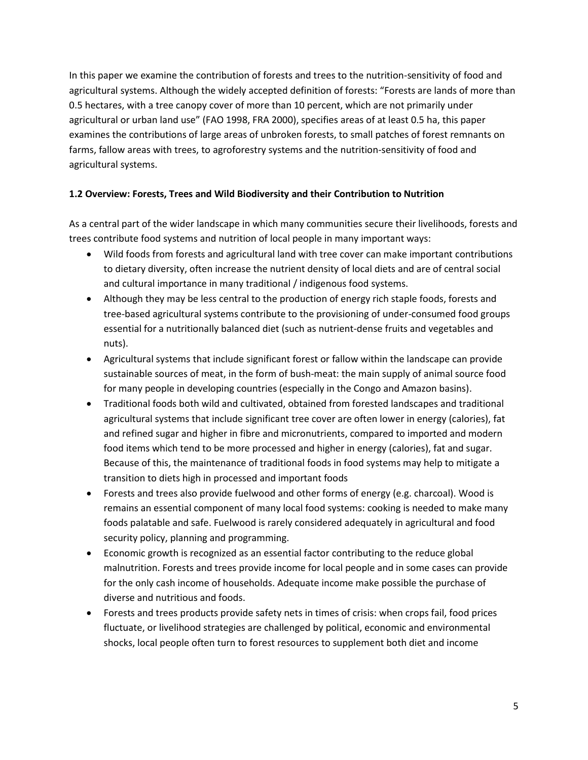In this paper we examine the contribution of forests and trees to the nutrition-sensitivity of food and agricultural systems. Although the widely accepted definition of forests: "Forests are lands of more than 0.5 hectares, with a tree canopy cover of more than 10 percent, which are not primarily under agricultural or urban land use" (FAO 1998, FRA 2000), specifies areas of at least 0.5 ha, this paper examines the contributions of large areas of unbroken forests, to small patches of forest remnants on farms, fallow areas with trees, to agroforestry systems and the nutrition-sensitivity of food and agricultural systems.

### **1.2 Overview: Forests, Trees and Wild Biodiversity and their Contribution to Nutrition**

As a central part of the wider landscape in which many communities secure their livelihoods, forests and trees contribute food systems and nutrition of local people in many important ways:

- Wild foods from forests and agricultural land with tree cover can make important contributions to dietary diversity, often increase the nutrient density of local diets and are of central social and cultural importance in many traditional / indigenous food systems.
- Although they may be less central to the production of energy rich staple foods, forests and tree-based agricultural systems contribute to the provisioning of under-consumed food groups essential for a nutritionally balanced diet (such as nutrient-dense fruits and vegetables and nuts).
- Agricultural systems that include significant forest or fallow within the landscape can provide sustainable sources of meat, in the form of bush-meat: the main supply of animal source food for many people in developing countries (especially in the Congo and Amazon basins).
- Traditional foods both wild and cultivated, obtained from forested landscapes and traditional agricultural systems that include significant tree cover are often lower in energy (calories), fat and refined sugar and higher in fibre and micronutrients, compared to imported and modern food items which tend to be more processed and higher in energy (calories), fat and sugar. Because of this, the maintenance of traditional foods in food systems may help to mitigate a transition to diets high in processed and important foods
- Forests and trees also provide fuelwood and other forms of energy (e.g. charcoal). Wood is remains an essential component of many local food systems: cooking is needed to make many foods palatable and safe. Fuelwood is rarely considered adequately in agricultural and food security policy, planning and programming.
- Economic growth is recognized as an essential factor contributing to the reduce global malnutrition. Forests and trees provide income for local people and in some cases can provide for the only cash income of households. Adequate income make possible the purchase of diverse and nutritious and foods.
- Forests and trees products provide safety nets in times of crisis: when crops fail, food prices fluctuate, or livelihood strategies are challenged by political, economic and environmental shocks, local people often turn to forest resources to supplement both diet and income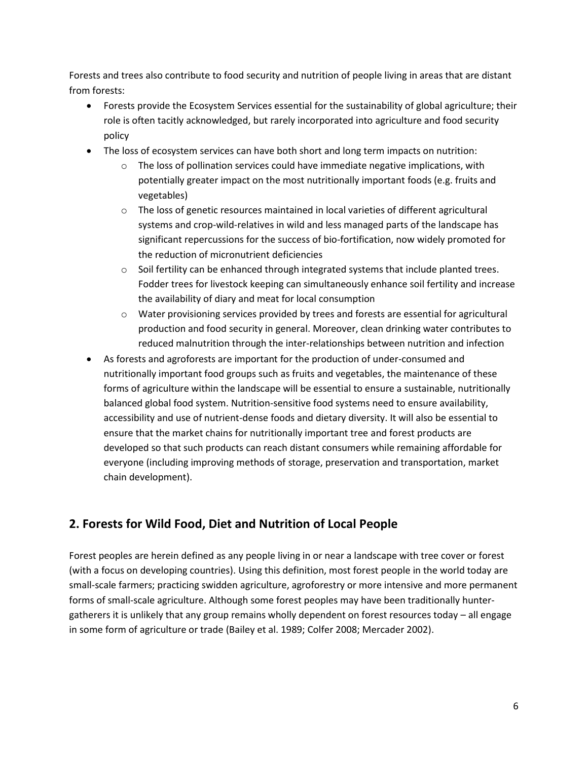Forests and trees also contribute to food security and nutrition of people living in areas that are distant from forests:

- Forests provide the Ecosystem Services essential for the sustainability of global agriculture; their role is often tacitly acknowledged, but rarely incorporated into agriculture and food security policy
- The loss of ecosystem services can have both short and long term impacts on nutrition:
	- $\circ$  The loss of pollination services could have immediate negative implications, with potentially greater impact on the most nutritionally important foods (e.g. fruits and vegetables)
	- $\circ$  The loss of genetic resources maintained in local varieties of different agricultural systems and crop-wild-relatives in wild and less managed parts of the landscape has significant repercussions for the success of bio-fortification, now widely promoted for the reduction of micronutrient deficiencies
	- $\circ$  Soil fertility can be enhanced through integrated systems that include planted trees. Fodder trees for livestock keeping can simultaneously enhance soil fertility and increase the availability of diary and meat for local consumption
	- o Water provisioning services provided by trees and forests are essential for agricultural production and food security in general. Moreover, clean drinking water contributes to reduced malnutrition through the inter-relationships between nutrition and infection
- As forests and agroforests are important for the production of under-consumed and nutritionally important food groups such as fruits and vegetables, the maintenance of these forms of agriculture within the landscape will be essential to ensure a sustainable, nutritionally balanced global food system. Nutrition-sensitive food systems need to ensure availability, accessibility and use of nutrient-dense foods and dietary diversity. It will also be essential to ensure that the market chains for nutritionally important tree and forest products are developed so that such products can reach distant consumers while remaining affordable for everyone (including improving methods of storage, preservation and transportation, market chain development).

# **2. Forests for Wild Food, Diet and Nutrition of Local People**

Forest peoples are herein defined as any people living in or near a landscape with tree cover or forest (with a focus on developing countries). Using this definition, most forest people in the world today are small-scale farmers; practicing swidden agriculture, agroforestry or more intensive and more permanent forms of small-scale agriculture. Although some forest peoples may have been traditionally huntergatherers it is unlikely that any group remains wholly dependent on forest resources today – all engage in some form of agriculture or trade (Bailey et al. 1989; Colfer 2008; Mercader 2002).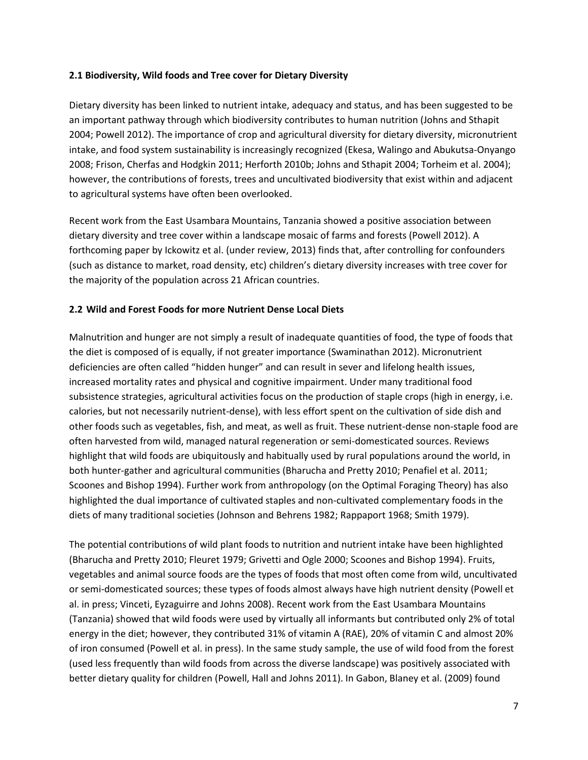#### **2.1 Biodiversity, Wild foods and Tree cover for Dietary Diversity**

Dietary diversity has been linked to nutrient intake, adequacy and status, and has been suggested to be an important pathway through which biodiversity contributes to human nutrition (Johns and Sthapit 2004; Powell 2012). The importance of crop and agricultural diversity for dietary diversity, micronutrient intake, and food system sustainability is increasingly recognized (Ekesa, Walingo and Abukutsa-Onyango 2008; Frison, Cherfas and Hodgkin 2011; Herforth 2010b; Johns and Sthapit 2004; Torheim et al. 2004); however, the contributions of forests, trees and uncultivated biodiversity that exist within and adjacent to agricultural systems have often been overlooked.

Recent work from the East Usambara Mountains, Tanzania showed a positive association between dietary diversity and tree cover within a landscape mosaic of farms and forests (Powell 2012). A forthcoming paper by Ickowitz et al. (under review, 2013) finds that, after controlling for confounders (such as distance to market, road density, etc) children's dietary diversity increases with tree cover for the majority of the population across 21 African countries.

#### **2.2 Wild and Forest Foods for more Nutrient Dense Local Diets**

Malnutrition and hunger are not simply a result of inadequate quantities of food, the type of foods that the diet is composed of is equally, if not greater importance (Swaminathan 2012). Micronutrient deficiencies are often called "hidden hunger" and can result in sever and lifelong health issues, increased mortality rates and physical and cognitive impairment. Under many traditional food subsistence strategies, agricultural activities focus on the production of staple crops (high in energy, i.e. calories, but not necessarily nutrient-dense), with less effort spent on the cultivation of side dish and other foods such as vegetables, fish, and meat, as well as fruit. These nutrient-dense non-staple food are often harvested from wild, managed natural regeneration or semi-domesticated sources. Reviews highlight that wild foods are ubiquitously and habitually used by rural populations around the world, in both hunter-gather and agricultural communities (Bharucha and Pretty 2010; Penafiel et al. 2011; Scoones and Bishop 1994). Further work from anthropology (on the Optimal Foraging Theory) has also highlighted the dual importance of cultivated staples and non-cultivated complementary foods in the diets of many traditional societies (Johnson and Behrens 1982; Rappaport 1968; Smith 1979).

The potential contributions of wild plant foods to nutrition and nutrient intake have been highlighted (Bharucha and Pretty 2010; Fleuret 1979; Grivetti and Ogle 2000; Scoones and Bishop 1994). Fruits, vegetables and animal source foods are the types of foods that most often come from wild, uncultivated or semi-domesticated sources; these types of foods almost always have high nutrient density (Powell et al. in press; Vinceti, Eyzaguirre and Johns 2008). Recent work from the East Usambara Mountains (Tanzania) showed that wild foods were used by virtually all informants but contributed only 2% of total energy in the diet; however, they contributed 31% of vitamin A (RAE), 20% of vitamin C and almost 20% of iron consumed (Powell et al. in press). In the same study sample, the use of wild food from the forest (used less frequently than wild foods from across the diverse landscape) was positively associated with better dietary quality for children (Powell, Hall and Johns 2011). In Gabon, Blaney et al. (2009) found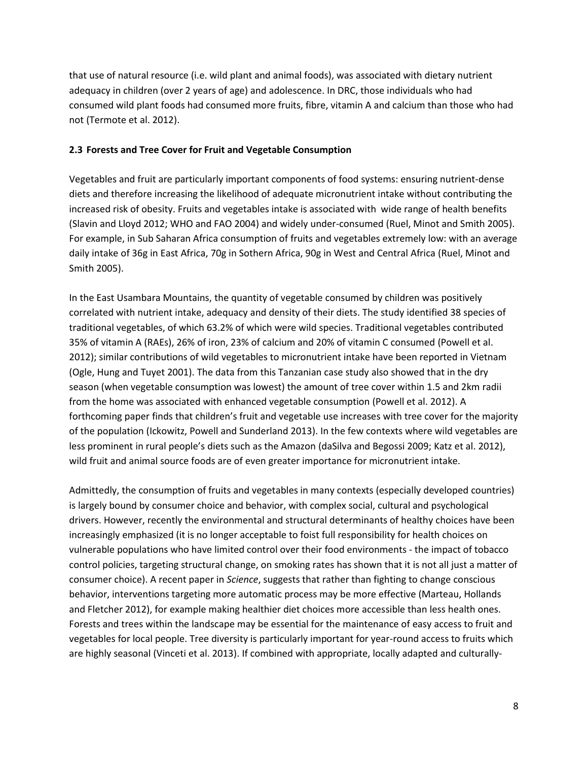that use of natural resource (i.e. wild plant and animal foods), was associated with dietary nutrient adequacy in children (over 2 years of age) and adolescence. In DRC, those individuals who had consumed wild plant foods had consumed more fruits, fibre, vitamin A and calcium than those who had not (Termote et al. 2012).

#### **2.3 Forests and Tree Cover for Fruit and Vegetable Consumption**

Vegetables and fruit are particularly important components of food systems: ensuring nutrient-dense diets and therefore increasing the likelihood of adequate micronutrient intake without contributing the increased risk of obesity. Fruits and vegetables intake is associated with wide range of health benefits (Slavin and Lloyd 2012; WHO and FAO 2004) and widely under-consumed (Ruel, Minot and Smith 2005). For example, in Sub Saharan Africa consumption of fruits and vegetables extremely low: with an average daily intake of 36g in East Africa, 70g in Sothern Africa, 90g in West and Central Africa (Ruel, Minot and Smith 2005).

In the East Usambara Mountains, the quantity of vegetable consumed by children was positively correlated with nutrient intake, adequacy and density of their diets. The study identified 38 species of traditional vegetables, of which 63.2% of which were wild species. Traditional vegetables contributed 35% of vitamin A (RAEs), 26% of iron, 23% of calcium and 20% of vitamin C consumed (Powell et al. 2012); similar contributions of wild vegetables to micronutrient intake have been reported in Vietnam (Ogle, Hung and Tuyet 2001). The data from this Tanzanian case study also showed that in the dry season (when vegetable consumption was lowest) the amount of tree cover within 1.5 and 2km radii from the home was associated with enhanced vegetable consumption (Powell et al. 2012). A forthcoming paper finds that children's fruit and vegetable use increases with tree cover for the majority of the population (Ickowitz, Powell and Sunderland 2013). In the few contexts where wild vegetables are less prominent in rural people's diets such as the Amazon (daSilva and Begossi 2009; Katz et al. 2012), wild fruit and animal source foods are of even greater importance for micronutrient intake.

Admittedly, the consumption of fruits and vegetables in many contexts (especially developed countries) is largely bound by consumer choice and behavior, with complex social, cultural and psychological drivers. However, recently the environmental and structural determinants of healthy choices have been increasingly emphasized (it is no longer acceptable to foist full responsibility for health choices on vulnerable populations who have limited control over their food environments - the impact of tobacco control policies, targeting structural change, on smoking rates has shown that it is not all just a matter of consumer choice). A recent paper in *Science*, suggests that rather than fighting to change conscious behavior, interventions targeting more automatic process may be more effective (Marteau, Hollands and Fletcher 2012), for example making healthier diet choices more accessible than less health ones. Forests and trees within the landscape may be essential for the maintenance of easy access to fruit and vegetables for local people. Tree diversity is particularly important for year-round access to fruits which are highly seasonal (Vinceti et al. 2013). If combined with appropriate, locally adapted and culturally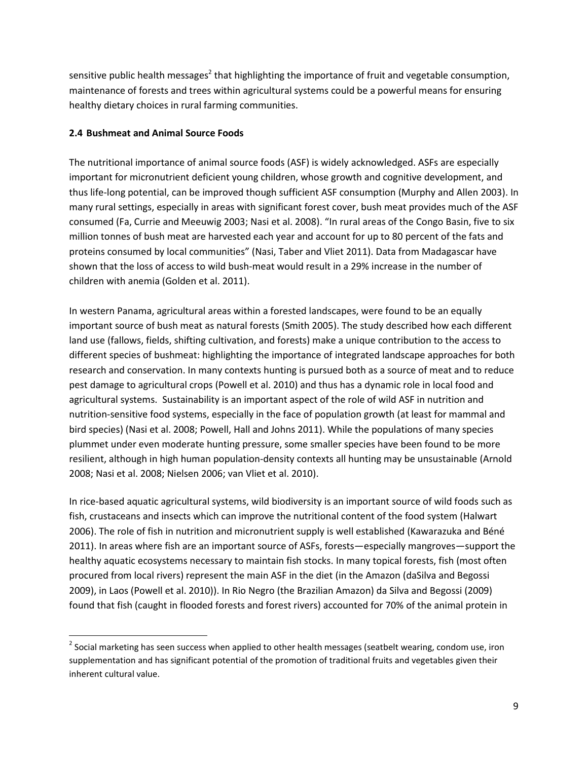sensitive public health messages<sup>2</sup> that highlighting the importance of fruit and vegetable consumption, maintenance of forests and trees within agricultural systems could be a powerful means for ensuring healthy dietary choices in rural farming communities.

### **2.4 Bushmeat and Animal Source Foods**

 $\overline{a}$ 

The nutritional importance of animal source foods (ASF) is widely acknowledged. ASFs are especially important for micronutrient deficient young children, whose growth and cognitive development, and thus life-long potential, can be improved though sufficient ASF consumption (Murphy and Allen 2003). In many rural settings, especially in areas with significant forest cover, bush meat provides much of the ASF consumed (Fa, Currie and Meeuwig 2003; Nasi et al. 2008). "In rural areas of the Congo Basin, five to six million tonnes of bush meat are harvested each year and account for up to 80 percent of the fats and proteins consumed by local communities" (Nasi, Taber and Vliet 2011). Data from Madagascar have shown that the loss of access to wild bush-meat would result in a 29% increase in the number of children with anemia (Golden et al. 2011).

In western Panama, agricultural areas within a forested landscapes, were found to be an equally important source of bush meat as natural forests (Smith 2005). The study described how each different land use (fallows, fields, shifting cultivation, and forests) make a unique contribution to the access to different species of bushmeat: highlighting the importance of integrated landscape approaches for both research and conservation. In many contexts hunting is pursued both as a source of meat and to reduce pest damage to agricultural crops (Powell et al. 2010) and thus has a dynamic role in local food and agricultural systems. Sustainability is an important aspect of the role of wild ASF in nutrition and nutrition-sensitive food systems, especially in the face of population growth (at least for mammal and bird species) (Nasi et al. 2008; Powell, Hall and Johns 2011). While the populations of many species plummet under even moderate hunting pressure, some smaller species have been found to be more resilient, although in high human population-density contexts all hunting may be unsustainable (Arnold 2008; Nasi et al. 2008; Nielsen 2006; van Vliet et al. 2010).

In rice-based aquatic agricultural systems, wild biodiversity is an important source of wild foods such as fish, crustaceans and insects which can improve the nutritional content of the food system (Halwart 2006). The role of fish in nutrition and micronutrient supply is well established (Kawarazuka and Béné 2011). In areas where fish are an important source of ASFs, forests—especially mangroves—support the healthy aquatic ecosystems necessary to maintain fish stocks. In many topical forests, fish (most often procured from local rivers) represent the main ASF in the diet (in the Amazon (daSilva and Begossi 2009), in Laos (Powell et al. 2010)). In Rio Negro (the Brazilian Amazon) da Silva and Begossi (2009) found that fish (caught in flooded forests and forest rivers) accounted for 70% of the animal protein in

 $2$  Social marketing has seen success when applied to other health messages (seatbelt wearing, condom use, iron supplementation and has significant potential of the promotion of traditional fruits and vegetables given their inherent cultural value.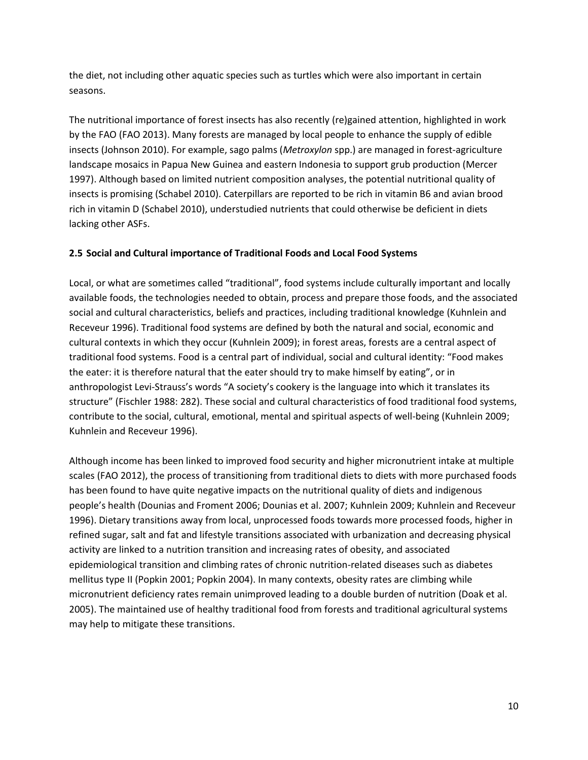the diet, not including other aquatic species such as turtles which were also important in certain seasons.

The nutritional importance of forest insects has also recently (re)gained attention, highlighted in work by the FAO (FAO 2013). Many forests are managed by local people to enhance the supply of edible insects (Johnson 2010). For example, sago palms (*Metroxylon* spp.) are managed in forest-agriculture landscape mosaics in Papua New Guinea and eastern Indonesia to support grub production (Mercer 1997). Although based on limited nutrient composition analyses, the potential nutritional quality of insects is promising (Schabel 2010). Caterpillars are reported to be rich in vitamin B6 and avian brood rich in vitamin D (Schabel 2010), understudied nutrients that could otherwise be deficient in diets lacking other ASFs.

## **2.5 Social and Cultural importance of Traditional Foods and Local Food Systems**

Local, or what are sometimes called "traditional", food systems include culturally important and locally available foods, the technologies needed to obtain, process and prepare those foods, and the associated social and cultural characteristics, beliefs and practices, including traditional knowledge (Kuhnlein and Receveur 1996). Traditional food systems are defined by both the natural and social, economic and cultural contexts in which they occur (Kuhnlein 2009); in forest areas, forests are a central aspect of traditional food systems. Food is a central part of individual, social and cultural identity: "Food makes the eater: it is therefore natural that the eater should try to make himself by eating", or in anthropologist Levi-Strauss's words "A society's cookery is the language into which it translates its structure" (Fischler 1988: 282). These social and cultural characteristics of food traditional food systems, contribute to the social, cultural, emotional, mental and spiritual aspects of well-being (Kuhnlein 2009; Kuhnlein and Receveur 1996).

Although income has been linked to improved food security and higher micronutrient intake at multiple scales (FAO 2012), the process of transitioning from traditional diets to diets with more purchased foods has been found to have quite negative impacts on the nutritional quality of diets and indigenous people's health (Dounias and Froment 2006; Dounias et al. 2007; Kuhnlein 2009; Kuhnlein and Receveur 1996). Dietary transitions away from local, unprocessed foods towards more processed foods, higher in refined sugar, salt and fat and lifestyle transitions associated with urbanization and decreasing physical activity are linked to a nutrition transition and increasing rates of obesity, and associated epidemiological transition and climbing rates of chronic nutrition-related diseases such as diabetes mellitus type II (Popkin 2001; Popkin 2004). In many contexts, obesity rates are climbing while micronutrient deficiency rates remain unimproved leading to a double burden of nutrition (Doak et al. 2005). The maintained use of healthy traditional food from forests and traditional agricultural systems may help to mitigate these transitions.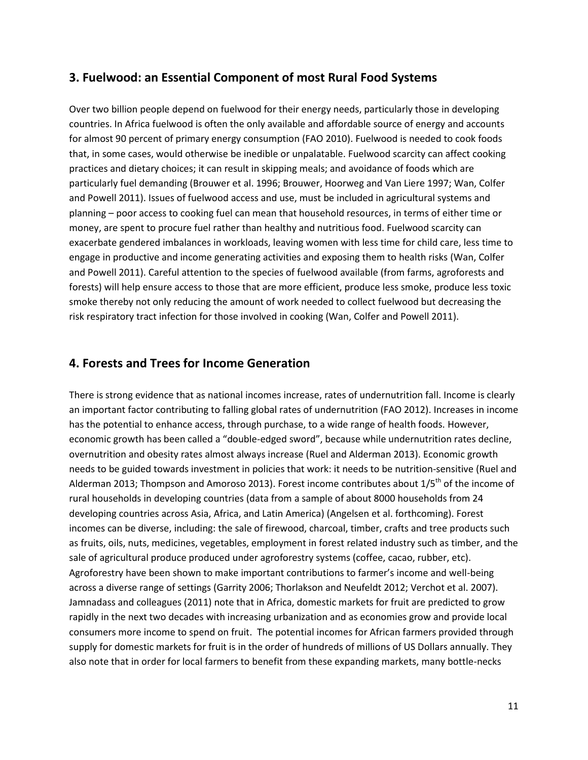# **3. Fuelwood: an Essential Component of most Rural Food Systems**

Over two billion people depend on fuelwood for their energy needs, particularly those in developing countries. In Africa fuelwood is often the only available and affordable source of energy and accounts for almost 90 percent of primary energy consumption (FAO 2010). Fuelwood is needed to cook foods that, in some cases, would otherwise be inedible or unpalatable. Fuelwood scarcity can affect cooking practices and dietary choices; it can result in skipping meals; and avoidance of foods which are particularly fuel demanding (Brouwer et al. 1996; Brouwer, Hoorweg and Van Liere 1997; Wan, Colfer and Powell 2011). Issues of fuelwood access and use, must be included in agricultural systems and planning – poor access to cooking fuel can mean that household resources, in terms of either time or money, are spent to procure fuel rather than healthy and nutritious food. Fuelwood scarcity can exacerbate gendered imbalances in workloads, leaving women with less time for child care, less time to engage in productive and income generating activities and exposing them to health risks (Wan, Colfer and Powell 2011). Careful attention to the species of fuelwood available (from farms, agroforests and forests) will help ensure access to those that are more efficient, produce less smoke, produce less toxic smoke thereby not only reducing the amount of work needed to collect fuelwood but decreasing the risk respiratory tract infection for those involved in cooking (Wan, Colfer and Powell 2011).

## **4. Forests and Trees for Income Generation**

There is strong evidence that as national incomes increase, rates of undernutrition fall. Income is clearly an important factor contributing to falling global rates of undernutrition (FAO 2012). Increases in income has the potential to enhance access, through purchase, to a wide range of health foods. However, economic growth has been called a "double-edged sword", because while undernutrition rates decline, overnutrition and obesity rates almost always increase (Ruel and Alderman 2013). Economic growth needs to be guided towards investment in policies that work: it needs to be nutrition-sensitive (Ruel and Alderman 2013; Thompson and Amoroso 2013). Forest income contributes about 1/5<sup>th</sup> of the income of rural households in developing countries (data from a sample of about 8000 households from 24 developing countries across Asia, Africa, and Latin America) (Angelsen et al. forthcoming). Forest incomes can be diverse, including: the sale of firewood, charcoal, timber, crafts and tree products such as fruits, oils, nuts, medicines, vegetables, employment in forest related industry such as timber, and the sale of agricultural produce produced under agroforestry systems (coffee, cacao, rubber, etc). Agroforestry have been shown to make important contributions to farmer's income and well-being across a diverse range of settings (Garrity 2006; Thorlakson and Neufeldt 2012; Verchot et al. 2007). Jamnadass and colleagues (2011) note that in Africa, domestic markets for fruit are predicted to grow rapidly in the next two decades with increasing urbanization and as economies grow and provide local consumers more income to spend on fruit. The potential incomes for African farmers provided through supply for domestic markets for fruit is in the order of hundreds of millions of US Dollars annually. They also note that in order for local farmers to benefit from these expanding markets, many bottle-necks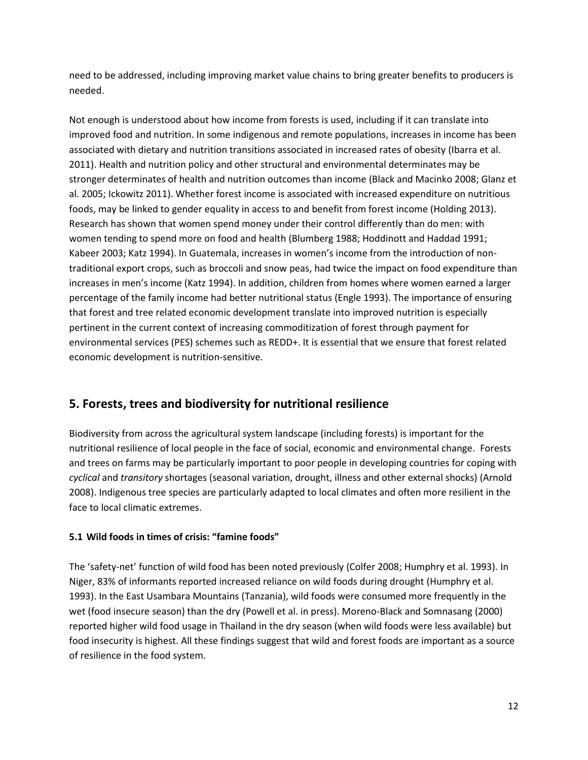need to be addressed, including improving market value chains to bring greater benefits to producers is needed.

Not enough is understood about how income from forests is used, including if it can translate into improved food and nutrition. In some indigenous and remote populations, increases in income has been associated with dietary and nutrition transitions associated in increased rates of obesity (Ibarra et al. 2011). Health and nutrition policy and other structural and environmental determinates may be stronger determinates of health and nutrition outcomes than income (Black and Macinko 2008; Glanz et al. 2005; Ickowitz 2011). Whether forest income is associated with increased expenditure on nutritious foods, may be linked to gender equality in access to and benefit from forest income (Holding 2013). Research has shown that women spend money under their control differently than do men: with women tending to spend more on food and health (Blumberg 1988; Hoddinott and Haddad 1991; Kabeer 2003; Katz 1994). In Guatemala, increases in women's income from the introduction of nontraditional export crops, such as broccoli and snow peas, had twice the impact on food expenditure than increases in men's income (Katz 1994). In addition, children from homes where women earned a larger percentage of the family income had better nutritional status (Engle 1993). The importance of ensuring that forest and tree related economic development translate into improved nutrition is especially pertinent in the current context of increasing commoditization of forest through payment for environmental services (PES) schemes such as REDD+. It is essential that we ensure that forest related economic development is nutrition-sensitive.

# **5. Forests, trees and biodiversity for nutritional resilience**

Biodiversity from across the agricultural system landscape (including forests) is important for the nutritional resilience of local people in the face of social, economic and environmental change. Forests and trees on farms may be particularly important to poor people in developing countries for coping with *cyclical* and *transitory* shortages (seasonal variation, drought, illness and other external shocks) (Arnold 2008). Indigenous tree species are particularly adapted to local climates and often more resilient in the face to local climatic extremes.

## **5.1 Wild foods in times of crisis: "famine foods"**

The 'safety-net' function of wild food has been noted previously (Colfer 2008; Humphry et al. 1993). In Niger, 83% of informants reported increased reliance on wild foods during drought (Humphry et al. 1993). In the East Usambara Mountains (Tanzania), wild foods were consumed more frequently in the wet (food insecure season) than the dry (Powell et al. in press). Moreno-Black and Somnasang (2000) reported higher wild food usage in Thailand in the dry season (when wild foods were less available) but food insecurity is highest. All these findings suggest that wild and forest foods are important as a source of resilience in the food system.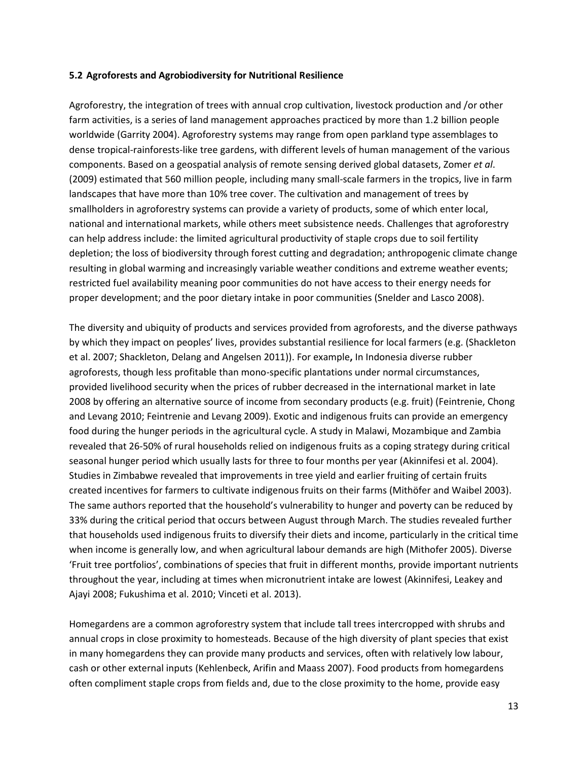#### **5.2 Agroforests and Agrobiodiversity for Nutritional Resilience**

Agroforestry, the integration of trees with annual crop cultivation, livestock production and /or other farm activities, is a series of land management approaches practiced by more than 1.2 billion people worldwide (Garrity 2004). Agroforestry systems may range from open parkland type assemblages to dense tropical-rainforests-like tree gardens, with different levels of human management of the various components. Based on a geospatial analysis of remote sensing derived global datasets, Zomer *et al*. (2009) estimated that 560 million people, including many small-scale farmers in the tropics, live in farm landscapes that have more than 10% tree cover. The cultivation and management of trees by smallholders in agroforestry systems can provide a variety of products, some of which enter local, national and international markets, while others meet subsistence needs. Challenges that agroforestry can help address include: the limited agricultural productivity of staple crops due to soil fertility depletion; the loss of biodiversity through forest cutting and degradation; anthropogenic climate change resulting in global warming and increasingly variable weather conditions and extreme weather events; restricted fuel availability meaning poor communities do not have access to their energy needs for proper development; and the poor dietary intake in poor communities (Snelder and Lasco 2008).

The diversity and ubiquity of products and services provided from agroforests, and the diverse pathways by which they impact on peoples' lives, provides substantial resilience for local farmers (e.g. (Shackleton et al. 2007; Shackleton, Delang and Angelsen 2011)). For example**,** In Indonesia diverse rubber agroforests, though less profitable than mono-specific plantations under normal circumstances, provided livelihood security when the prices of rubber decreased in the international market in late 2008 by offering an alternative source of income from secondary products (e.g. fruit) (Feintrenie, Chong and Levang 2010; Feintrenie and Levang 2009). Exotic and indigenous fruits can provide an emergency food during the hunger periods in the agricultural cycle. A study in Malawi, Mozambique and Zambia revealed that 26-50% of rural households relied on indigenous fruits as a coping strategy during critical seasonal hunger period which usually lasts for three to four months per year (Akinnifesi et al. 2004). Studies in Zimbabwe revealed that improvements in tree yield and earlier fruiting of certain fruits created incentives for farmers to cultivate indigenous fruits on their farms (Mithöfer and Waibel 2003). The same authors reported that the household's vulnerability to hunger and poverty can be reduced by 33% during the critical period that occurs between August through March. The studies revealed further that households used indigenous fruits to diversify their diets and income, particularly in the critical time when income is generally low, and when agricultural labour demands are high (Mithofer 2005). Diverse 'Fruit tree portfolios', combinations of species that fruit in different months, provide important nutrients throughout the year, including at times when micronutrient intake are lowest (Akinnifesi, Leakey and Ajayi 2008; Fukushima et al. 2010; Vinceti et al. 2013).

Homegardens are a common agroforestry system that include tall trees intercropped with shrubs and annual crops in close proximity to homesteads. Because of the high diversity of plant species that exist in many homegardens they can provide many products and services, often with relatively low labour, cash or other external inputs (Kehlenbeck, Arifin and Maass 2007). Food products from homegardens often compliment staple crops from fields and, due to the close proximity to the home, provide easy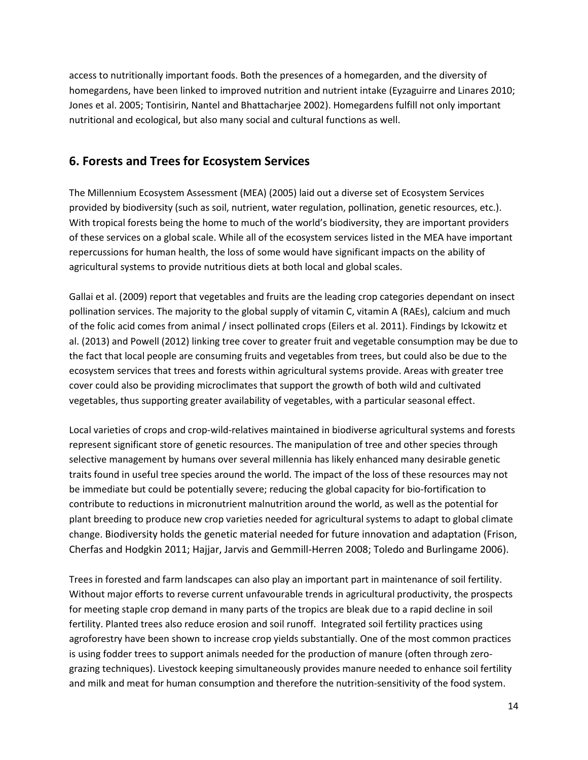access to nutritionally important foods. Both the presences of a homegarden, and the diversity of homegardens, have been linked to improved nutrition and nutrient intake (Eyzaguirre and Linares 2010; Jones et al. 2005; Tontisirin, Nantel and Bhattacharjee 2002). Homegardens fulfill not only important nutritional and ecological, but also many social and cultural functions as well.

# **6. Forests and Trees for Ecosystem Services**

The Millennium Ecosystem Assessment (MEA) (2005) laid out a diverse set of Ecosystem Services provided by biodiversity (such as soil, nutrient, water regulation, pollination, genetic resources, etc.). With tropical forests being the home to much of the world's biodiversity, they are important providers of these services on a global scale. While all of the ecosystem services listed in the MEA have important repercussions for human health, the loss of some would have significant impacts on the ability of agricultural systems to provide nutritious diets at both local and global scales.

Gallai et al. (2009) report that vegetables and fruits are the leading crop categories dependant on insect pollination services. The majority to the global supply of vitamin C, vitamin A (RAEs), calcium and much of the folic acid comes from animal / insect pollinated crops (Eilers et al. 2011). Findings by Ickowitz et al. (2013) and Powell (2012) linking tree cover to greater fruit and vegetable consumption may be due to the fact that local people are consuming fruits and vegetables from trees, but could also be due to the ecosystem services that trees and forests within agricultural systems provide. Areas with greater tree cover could also be providing microclimates that support the growth of both wild and cultivated vegetables, thus supporting greater availability of vegetables, with a particular seasonal effect.

Local varieties of crops and crop-wild-relatives maintained in biodiverse agricultural systems and forests represent significant store of genetic resources. The manipulation of tree and other species through selective management by humans over several millennia has likely enhanced many desirable genetic traits found in useful tree species around the world. The impact of the loss of these resources may not be immediate but could be potentially severe; reducing the global capacity for bio-fortification to contribute to reductions in micronutrient malnutrition around the world, as well as the potential for plant breeding to produce new crop varieties needed for agricultural systems to adapt to global climate change. Biodiversity holds the genetic material needed for future innovation and adaptation (Frison, Cherfas and Hodgkin 2011; Hajjar, Jarvis and Gemmill-Herren 2008; Toledo and Burlingame 2006).

Trees in forested and farm landscapes can also play an important part in maintenance of soil fertility. Without major efforts to reverse current unfavourable trends in agricultural productivity, the prospects for meeting staple crop demand in many parts of the tropics are bleak due to a rapid decline in soil fertility. Planted trees also reduce erosion and soil runoff. Integrated soil fertility practices using agroforestry have been shown to increase crop yields substantially. One of the most common practices is using fodder trees to support animals needed for the production of manure (often through zerograzing techniques). Livestock keeping simultaneously provides manure needed to enhance soil fertility and milk and meat for human consumption and therefore the nutrition-sensitivity of the food system.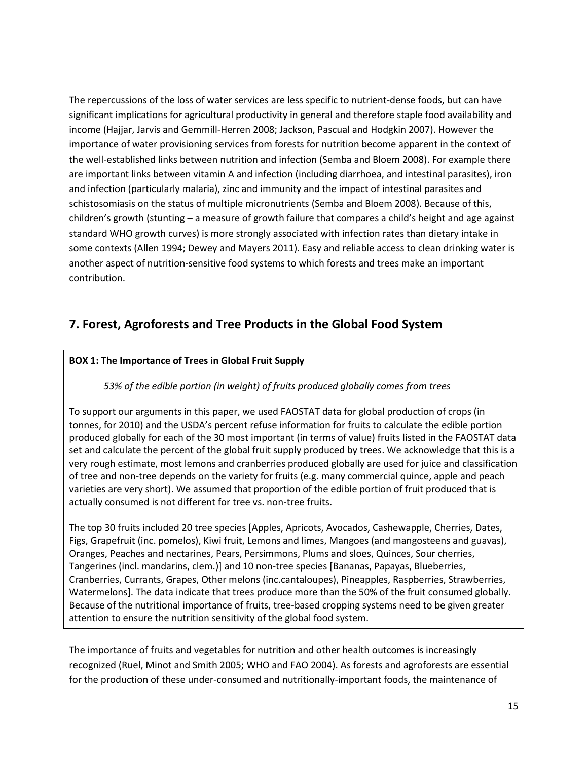The repercussions of the loss of water services are less specific to nutrient-dense foods, but can have significant implications for agricultural productivity in general and therefore staple food availability and income (Hajjar, Jarvis and Gemmill-Herren 2008; Jackson, Pascual and Hodgkin 2007). However the importance of water provisioning services from forests for nutrition become apparent in the context of the well-established links between nutrition and infection (Semba and Bloem 2008). For example there are important links between vitamin A and infection (including diarrhoea, and intestinal parasites), iron and infection (particularly malaria), zinc and immunity and the impact of intestinal parasites and schistosomiasis on the status of multiple micronutrients (Semba and Bloem 2008). Because of this, children's growth (stunting – a measure of growth failure that compares a child's height and age against standard WHO growth curves) is more strongly associated with infection rates than dietary intake in some contexts (Allen 1994; Dewey and Mayers 2011). Easy and reliable access to clean drinking water is another aspect of nutrition-sensitive food systems to which forests and trees make an important contribution.

# **7. Forest, Agroforests and Tree Products in the Global Food System**

## **BOX 1: The Importance of Trees in Global Fruit Supply**

## *53% of the edible portion (in weight) of fruits produced globally comes from trees*

To support our arguments in this paper, we used FAOSTAT data for global production of crops (in tonnes, for 2010) and the USDA's percent refuse information for fruits to calculate the edible portion produced globally for each of the 30 most important (in terms of value) fruits listed in the FAOSTAT data set and calculate the percent of the global fruit supply produced by trees. We acknowledge that this is a very rough estimate, most lemons and cranberries produced globally are used for juice and classification of tree and non-tree depends on the variety for fruits (e.g. many commercial quince, apple and peach varieties are very short). We assumed that proportion of the edible portion of fruit produced that is actually consumed is not different for tree vs. non-tree fruits.

The top 30 fruits included 20 tree species [Apples, Apricots, Avocados, Cashewapple, Cherries, Dates, Figs, Grapefruit (inc. pomelos), Kiwi fruit, Lemons and limes, Mangoes (and mangosteens and guavas), Oranges, Peaches and nectarines, Pears, Persimmons, Plums and sloes, Quinces, Sour cherries, Tangerines (incl. mandarins, clem.)] and 10 non-tree species [Bananas, Papayas, Blueberries, Cranberries, Currants, Grapes, Other melons (inc.cantaloupes), Pineapples, Raspberries, Strawberries, Watermelons]. The data indicate that trees produce more than the 50% of the fruit consumed globally. Because of the nutritional importance of fruits, tree-based cropping systems need to be given greater attention to ensure the nutrition sensitivity of the global food system.

The importance of fruits and vegetables for nutrition and other health outcomes is increasingly recognized (Ruel, Minot and Smith 2005; WHO and FAO 2004). As forests and agroforests are essential for the production of these under-consumed and nutritionally-important foods, the maintenance of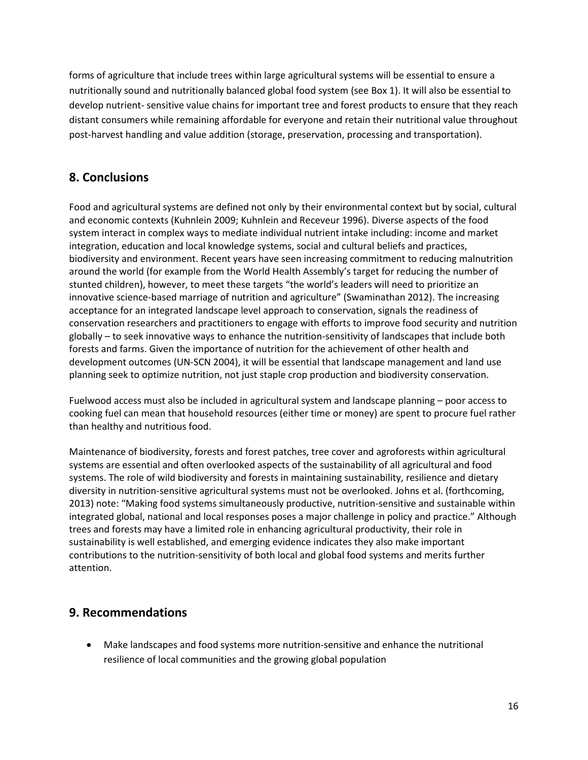forms of agriculture that include trees within large agricultural systems will be essential to ensure a nutritionally sound and nutritionally balanced global food system (see Box 1). It will also be essential to develop nutrient- sensitive value chains for important tree and forest products to ensure that they reach distant consumers while remaining affordable for everyone and retain their nutritional value throughout post-harvest handling and value addition (storage, preservation, processing and transportation).

# **8. Conclusions**

Food and agricultural systems are defined not only by their environmental context but by social, cultural and economic contexts (Kuhnlein 2009; Kuhnlein and Receveur 1996). Diverse aspects of the food system interact in complex ways to mediate individual nutrient intake including: income and market integration, education and local knowledge systems, social and cultural beliefs and practices, biodiversity and environment. Recent years have seen increasing commitment to reducing malnutrition around the world (for example from the World Health Assembly's target for reducing the number of stunted children), however, to meet these targets "the world's leaders will need to prioritize an innovative science-based marriage of nutrition and agriculture" (Swaminathan 2012). The increasing acceptance for an integrated landscape level approach to conservation, signals the readiness of conservation researchers and practitioners to engage with efforts to improve food security and nutrition globally – to seek innovative ways to enhance the nutrition-sensitivity of landscapes that include both forests and farms. Given the importance of nutrition for the achievement of other health and development outcomes (UN-SCN 2004), it will be essential that landscape management and land use planning seek to optimize nutrition, not just staple crop production and biodiversity conservation.

Fuelwood access must also be included in agricultural system and landscape planning – poor access to cooking fuel can mean that household resources (either time or money) are spent to procure fuel rather than healthy and nutritious food.

Maintenance of biodiversity, forests and forest patches, tree cover and agroforests within agricultural systems are essential and often overlooked aspects of the sustainability of all agricultural and food systems. The role of wild biodiversity and forests in maintaining sustainability, resilience and dietary diversity in nutrition-sensitive agricultural systems must not be overlooked. Johns et al. (forthcoming, 2013) note: "Making food systems simultaneously productive, nutrition-sensitive and sustainable within integrated global, national and local responses poses a major challenge in policy and practice." Although trees and forests may have a limited role in enhancing agricultural productivity, their role in sustainability is well established, and emerging evidence indicates they also make important contributions to the nutrition-sensitivity of both local and global food systems and merits further attention.

# **9. Recommendations**

 Make landscapes and food systems more nutrition-sensitive and enhance the nutritional resilience of local communities and the growing global population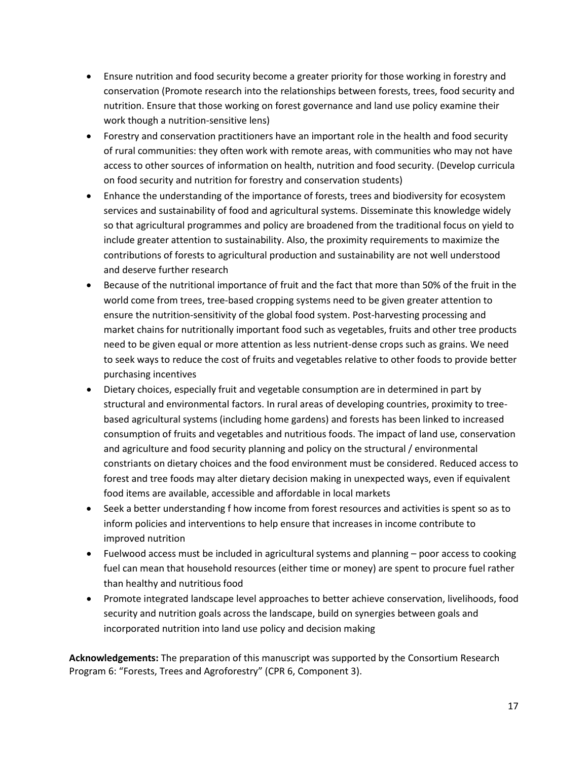- Ensure nutrition and food security become a greater priority for those working in forestry and conservation (Promote research into the relationships between forests, trees, food security and nutrition. Ensure that those working on forest governance and land use policy examine their work though a nutrition-sensitive lens)
- Forestry and conservation practitioners have an important role in the health and food security of rural communities: they often work with remote areas, with communities who may not have access to other sources of information on health, nutrition and food security. (Develop curricula on food security and nutrition for forestry and conservation students)
- Enhance the understanding of the importance of forests, trees and biodiversity for ecosystem services and sustainability of food and agricultural systems. Disseminate this knowledge widely so that agricultural programmes and policy are broadened from the traditional focus on yield to include greater attention to sustainability. Also, the proximity requirements to maximize the contributions of forests to agricultural production and sustainability are not well understood and deserve further research
- Because of the nutritional importance of fruit and the fact that more than 50% of the fruit in the world come from trees, tree-based cropping systems need to be given greater attention to ensure the nutrition-sensitivity of the global food system. Post-harvesting processing and market chains for nutritionally important food such as vegetables, fruits and other tree products need to be given equal or more attention as less nutrient-dense crops such as grains. We need to seek ways to reduce the cost of fruits and vegetables relative to other foods to provide better purchasing incentives
- Dietary choices, especially fruit and vegetable consumption are in determined in part by structural and environmental factors. In rural areas of developing countries, proximity to treebased agricultural systems (including home gardens) and forests has been linked to increased consumption of fruits and vegetables and nutritious foods. The impact of land use, conservation and agriculture and food security planning and policy on the structural / environmental constriants on dietary choices and the food environment must be considered. Reduced access to forest and tree foods may alter dietary decision making in unexpected ways, even if equivalent food items are available, accessible and affordable in local markets
- Seek a better understanding f how income from forest resources and activities is spent so as to inform policies and interventions to help ensure that increases in income contribute to improved nutrition
- Fuelwood access must be included in agricultural systems and planning poor access to cooking fuel can mean that household resources (either time or money) are spent to procure fuel rather than healthy and nutritious food
- Promote integrated landscape level approaches to better achieve conservation, livelihoods, food security and nutrition goals across the landscape, build on synergies between goals and incorporated nutrition into land use policy and decision making

**Acknowledgements:** The preparation of this manuscript was supported by the Consortium Research Program 6: "Forests, Trees and Agroforestry" (CPR 6, Component 3).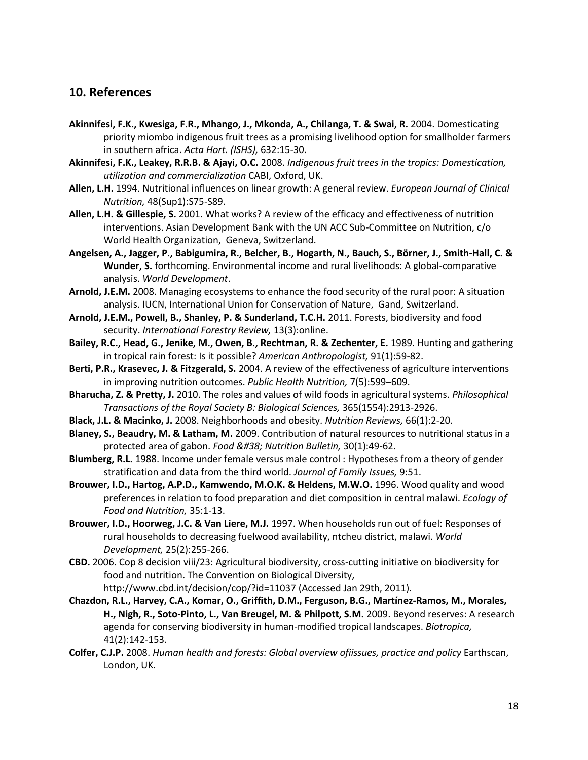## **10. References**

- **Akinnifesi, F.K., Kwesiga, F.R., Mhango, J., Mkonda, A., Chilanga, T. & Swai, R.** 2004. Domesticating priority miombo indigenous fruit trees as a promising livelihood option for smallholder farmers in southern africa. *Acta Hort. (ISHS),* 632:15-30.
- **Akinnifesi, F.K., Leakey, R.R.B. & Ajayi, O.C.** 2008. *Indigenous fruit trees in the tropics: Domestication, utilization and commercialization* CABI, Oxford, UK.
- **Allen, L.H.** 1994. Nutritional influences on linear growth: A general review. *European Journal of Clinical Nutrition,* 48(Sup1):S75-S89.
- **Allen, L.H. & Gillespie, S.** 2001. What works? A review of the efficacy and effectiveness of nutrition interventions. Asian Development Bank with the UN ACC Sub-Committee on Nutrition, c/o World Health Organization, Geneva, Switzerland.
- **Angelsen, A., Jagger, P., Babigumira, R., Belcher, B., Hogarth, N., Bauch, S., Börner, J., Smith-Hall, C. & Wunder, S.** forthcoming. Environmental income and rural livelihoods: A global-comparative analysis. *World Development*.
- **Arnold, J.E.M.** 2008. Managing ecosystems to enhance the food security of the rural poor: A situation analysis. IUCN, International Union for Conservation of Nature, Gand, Switzerland.
- **Arnold, J.E.M., Powell, B., Shanley, P. & Sunderland, T.C.H.** 2011. Forests, biodiversity and food security. *International Forestry Review,* 13(3):online.
- **Bailey, R.C., Head, G., Jenike, M., Owen, B., Rechtman, R. & Zechenter, E.** 1989. Hunting and gathering in tropical rain forest: Is it possible? *American Anthropologist,* 91(1):59-82.
- **Berti, P.R., Krasevec, J. & Fitzgerald, S.** 2004. A review of the effectiveness of agriculture interventions in improving nutrition outcomes. *Public Health Nutrition,* 7(5):599–609.
- **Bharucha, Z. & Pretty, J.** 2010. The roles and values of wild foods in agricultural systems. *Philosophical Transactions of the Royal Society B: Biological Sciences,* 365(1554):2913-2926.
- **Black, J.L. & Macinko, J.** 2008. Neighborhoods and obesity. *Nutrition Reviews,* 66(1):2-20.
- **Blaney, S., Beaudry, M. & Latham, M.** 2009. Contribution of natural resources to nutritional status in a protected area of gabon. *Food & Nutrition Bulletin*, 30(1):49-62.
- **Blumberg, R.L.** 1988. Income under female versus male control : Hypotheses from a theory of gender stratification and data from the third world. *Journal of Family Issues,* 9:51.
- **Brouwer, I.D., Hartog, A.P.D., Kamwendo, M.O.K. & Heldens, M.W.O.** 1996. Wood quality and wood preferences in relation to food preparation and diet composition in central malawi. *Ecology of Food and Nutrition,* 35:1-13.
- **Brouwer, I.D., Hoorweg, J.C. & Van Liere, M.J.** 1997. When households run out of fuel: Responses of rural households to decreasing fuelwood availability, ntcheu district, malawi. *World Development,* 25(2):255-266.
- **CBD.** 2006. Cop 8 decision viii/23: Agricultural biodiversity, cross-cutting initiative on biodiversity for food and nutrition. The Convention on Biological Diversity, http://www.cbd.int/decision/cop/?id=11037 (Accessed Jan 29th, 2011).
- **Chazdon, R.L., Harvey, C.A., Komar, O., Griffith, D.M., Ferguson, B.G., Martínez-Ramos, M., Morales, H., Nigh, R., Soto-Pinto, L., Van Breugel, M. & Philpott, S.M.** 2009. Beyond reserves: A research agenda for conserving biodiversity in human-modified tropical landscapes. *Biotropica,* 41(2):142-153.
- **Colfer, C.J.P.** 2008. *Human health and forests: Global overview ofiissues, practice and policy* Earthscan, London, UK.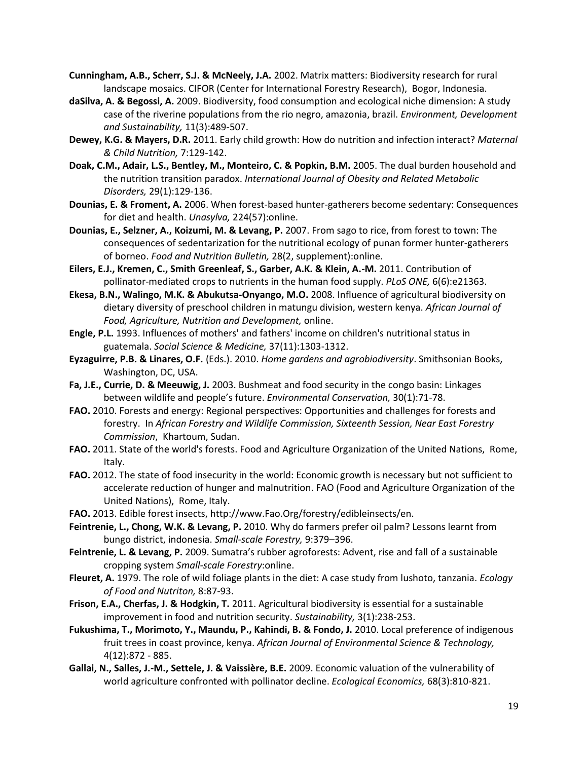- **Cunningham, A.B., Scherr, S.J. & McNeely, J.A.** 2002. Matrix matters: Biodiversity research for rural landscape mosaics. CIFOR (Center for International Forestry Research), Bogor, Indonesia.
- **daSilva, A. & Begossi, A.** 2009. Biodiversity, food consumption and ecological niche dimension: A study case of the riverine populations from the rio negro, amazonia, brazil. *Environment, Development and Sustainability,* 11(3):489-507.
- **Dewey, K.G. & Mayers, D.R.** 2011. Early child growth: How do nutrition and infection interact? *Maternal & Child Nutrition,* 7:129-142.
- **Doak, C.M., Adair, L.S., Bentley, M., Monteiro, C. & Popkin, B.M.** 2005. The dual burden household and the nutrition transition paradox. *International Journal of Obesity and Related Metabolic Disorders,* 29(1):129-136.
- **Dounias, E. & Froment, A.** 2006. When forest-based hunter-gatherers become sedentary: Consequences for diet and health. *Unasylva,* 224(57):online.
- **Dounias, E., Selzner, A., Koizumi, M. & Levang, P.** 2007. From sago to rice, from forest to town: The consequences of sedentarization for the nutritional ecology of punan former hunter-gatherers of borneo. *Food and Nutrition Bulletin,* 28(2, supplement):online.
- **Eilers, E.J., Kremen, C., Smith Greenleaf, S., Garber, A.K. & Klein, A.-M.** 2011. Contribution of pollinator-mediated crops to nutrients in the human food supply. *PLoS ONE,* 6(6):e21363.
- **Ekesa, B.N., Walingo, M.K. & Abukutsa-Onyango, M.O.** 2008. Influence of agricultural biodiversity on dietary diversity of preschool children in matungu division, western kenya. *African Journal of Food, Agriculture, Nutrition and Development,* online.
- **Engle, P.L.** 1993. Influences of mothers' and fathers' income on children's nutritional status in guatemala. *Social Science & Medicine,* 37(11):1303-1312.
- **Eyzaguirre, P.B. & Linares, O.F.** (Eds.). 2010. *Home gardens and agrobiodiversity*. Smithsonian Books, Washington, DC, USA.
- **Fa, J.E., Currie, D. & Meeuwig, J.** 2003. Bushmeat and food security in the congo basin: Linkages between wildlife and people's future. *Environmental Conservation,* 30(1):71-78.
- **FAO.** 2010. Forests and energy: Regional perspectives: Opportunities and challenges for forests and forestry. In *African Forestry and Wildlife Commission, Sixteenth Session, Near East Forestry Commission*, Khartoum, Sudan.
- **FAO.** 2011. State of the world's forests. Food and Agriculture Organization of the United Nations, Rome, Italy.
- **FAO.** 2012. The state of food insecurity in the world: Economic growth is necessary but not sufficient to accelerate reduction of hunger and malnutrition. FAO (Food and Agriculture Organization of the United Nations), Rome, Italy.
- **FAO.** 2013. Edible forest insects, http://www.Fao.Org/forestry/edibleinsects/en.
- **Feintrenie, L., Chong, W.K. & Levang, P.** 2010. Why do farmers prefer oil palm? Lessons learnt from bungo district, indonesia. *Small-scale Forestry,* 9:379–396.
- **Feintrenie, L. & Levang, P.** 2009. Sumatra's rubber agroforests: Advent, rise and fall of a sustainable cropping system *Small-scale Forestry*:online.
- **Fleuret, A.** 1979. The role of wild foliage plants in the diet: A case study from lushoto, tanzania. *Ecology of Food and Nutriton,* 8:87-93.
- **Frison, E.A., Cherfas, J. & Hodgkin, T.** 2011. Agricultural biodiversity is essential for a sustainable improvement in food and nutrition security. *Sustainability,* 3(1):238-253.
- **Fukushima, T., Morimoto, Y., Maundu, P., Kahindi, B. & Fondo, J.** 2010. Local preference of indigenous fruit trees in coast province, kenya. *African Journal of Environmental Science & Technology,* 4(12):872 - 885.
- **Gallai, N., Salles, J.-M., Settele, J. & Vaissière, B.E.** 2009. Economic valuation of the vulnerability of world agriculture confronted with pollinator decline. *Ecological Economics,* 68(3):810-821.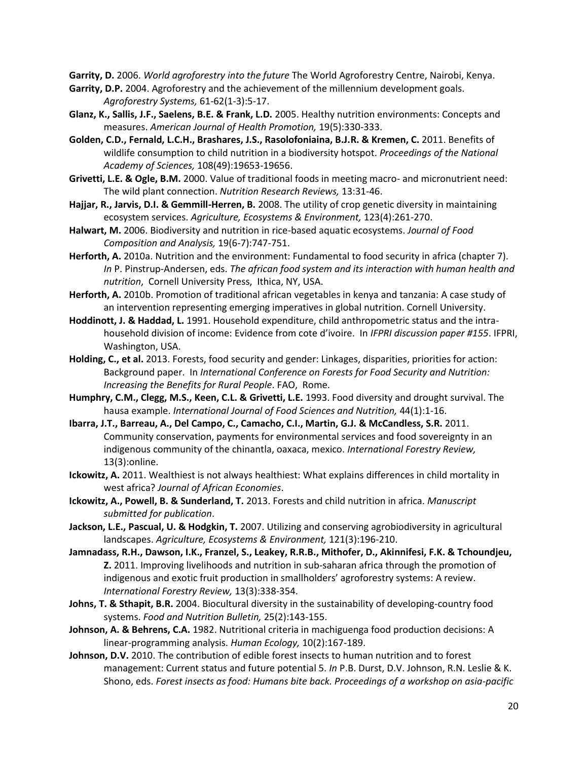**Garrity, D.** 2006. *World agroforestry into the future* The World Agroforestry Centre, Nairobi, Kenya.

- **Garrity, D.P.** 2004. Agroforestry and the achievement of the millennium development goals. *Agroforestry Systems,* 61-62(1-3):5-17.
- **Glanz, K., Sallis, J.F., Saelens, B.E. & Frank, L.D.** 2005. Healthy nutrition environments: Concepts and measures. *American Journal of Health Promotion,* 19(5):330-333.
- **Golden, C.D., Fernald, L.C.H., Brashares, J.S., Rasolofoniaina, B.J.R. & Kremen, C.** 2011. Benefits of wildlife consumption to child nutrition in a biodiversity hotspot. *Proceedings of the National Academy of Sciences,* 108(49):19653-19656.
- **Grivetti, L.E. & Ogle, B.M.** 2000. Value of traditional foods in meeting macro- and micronutrient need: The wild plant connection. *Nutrition Research Reviews,* 13:31-46.
- **Hajjar, R., Jarvis, D.I. & Gemmill-Herren, B.** 2008. The utility of crop genetic diversity in maintaining ecosystem services. *Agriculture, Ecosystems & Environment,* 123(4):261-270.
- **Halwart, M.** 2006. Biodiversity and nutrition in rice-based aquatic ecosystems. *Journal of Food Composition and Analysis,* 19(6-7):747-751.
- **Herforth, A.** 2010a. Nutrition and the environment: Fundamental to food security in africa (chapter 7). *In* P. Pinstrup-Andersen, eds. *The african food system and its interaction with human health and nutrition*, Cornell University Press, Ithica, NY, USA.
- **Herforth, A.** 2010b. Promotion of traditional african vegetables in kenya and tanzania: A case study of an intervention representing emerging imperatives in global nutrition. Cornell University.
- **Hoddinott, J. & Haddad, L.** 1991. Household expenditure, child anthropometric status and the intrahousehold division of income: Evidence from cote d'ivoire. In *IFPRI discussion paper #155*. IFPRI, Washington, USA.
- **Holding, C., et al.** 2013. Forests, food security and gender: Linkages, disparities, priorities for action: Background paper. In *International Conference on Forests for Food Security and Nutrition: Increasing the Benefits for Rural People*. FAO, Rome.
- **Humphry, C.M., Clegg, M.S., Keen, C.L. & Grivetti, L.E.** 1993. Food diversity and drought survival. The hausa example. *International Journal of Food Sciences and Nutrition,* 44(1):1-16.
- **Ibarra, J.T., Barreau, A., Del Campo, C., Camacho, C.I., Martin, G.J. & McCandless, S.R.** 2011. Community conservation, payments for environmental services and food sovereignty in an indigenous community of the chinantla, oaxaca, mexico. *International Forestry Review,* 13(3):online.
- **Ickowitz, A.** 2011. Wealthiest is not always healthiest: What explains differences in child mortality in west africa? *Journal of African Economies*.
- **Ickowitz, A., Powell, B. & Sunderland, T.** 2013. Forests and child nutrition in africa. *Manuscript submitted for publication*.
- **Jackson, L.E., Pascual, U. & Hodgkin, T.** 2007. Utilizing and conserving agrobiodiversity in agricultural landscapes. *Agriculture, Ecosystems & Environment,* 121(3):196-210.
- **Jamnadass, R.H., Dawson, I.K., Franzel, S., Leakey, R.R.B., Mithofer, D., Akinnifesi, F.K. & Tchoundjeu, Z.** 2011. Improving livelihoods and nutrition in sub-saharan africa through the promotion of indigenous and exotic fruit production in smallholders' agroforestry systems: A review. *International Forestry Review,* 13(3):338-354.
- **Johns, T. & Sthapit, B.R.** 2004. Biocultural diversity in the sustainability of developing-country food systems. *Food and Nutrition Bulletin,* 25(2):143-155.
- **Johnson, A. & Behrens, C.A.** 1982. Nutritional criteria in machiguenga food production decisions: A linear-programming analysis. *Human Ecology,* 10(2):167-189.
- **Johnson, D.V.** 2010. The contribution of edible forest insects to human nutrition and to forest management: Current status and future potential 5. *In* P.B. Durst, D.V. Johnson, R.N. Leslie & K. Shono, eds. *Forest insects as food: Humans bite back. Proceedings of a workshop on asia-pacific*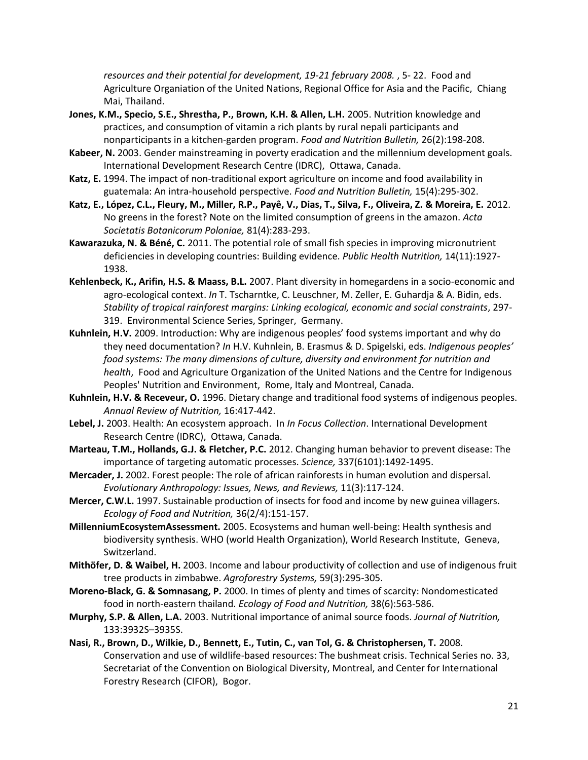*resources and their potential for development, 19-21 february 2008.* , 5- 22. Food and Agriculture Organiation of the United Nations, Regional Office for Asia and the Pacific, Chiang Mai, Thailand.

- **Jones, K.M., Specio, S.E., Shrestha, P., Brown, K.H. & Allen, L.H.** 2005. Nutrition knowledge and practices, and consumption of vitamin a rich plants by rural nepali participants and nonparticipants in a kitchen-garden program. *Food and Nutrition Bulletin,* 26(2):198-208.
- **Kabeer, N.** 2003. Gender mainstreaming in poverty eradication and the millennium development goals. International Development Research Centre (IDRC), Ottawa, Canada.
- **Katz, E.** 1994. The impact of non-traditional export agriculture on income and food availability in guatemala: An intra-household perspective. *Food and Nutrition Bulletin,* 15(4):295-302.
- **Katz, E., López, C.L., Fleury, M., Miller, R.P., Payê, V., Dias, T., Silva, F., Oliveira, Z. & Moreira, E.** 2012. No greens in the forest? Note on the limited consumption of greens in the amazon. *Acta Societatis Botanicorum Poloniae,* 81(4):283-293.
- **Kawarazuka, N. & Béné, C.** 2011. The potential role of small fish species in improving micronutrient deficiencies in developing countries: Building evidence. *Public Health Nutrition,* 14(11):1927- 1938.
- **Kehlenbeck, K., Arifin, H.S. & Maass, B.L.** 2007. Plant diversity in homegardens in a socio-economic and agro-ecological context. *In* T. Tscharntke, C. Leuschner, M. Zeller, E. Guhardja & A. Bidin, eds. *Stability of tropical rainforest margins: Linking ecological, economic and social constraints*, 297- 319. Environmental Science Series, Springer, Germany.
- **Kuhnlein, H.V.** 2009. Introduction: Why are indigenous peoples' food systems important and why do they need documentation? *In* H.V. Kuhnlein, B. Erasmus & D. Spigelski, eds. *Indigenous peoples' food systems: The many dimensions of culture, diversity and environment for nutrition and health*, Food and Agriculture Organization of the United Nations and the Centre for Indigenous Peoples' Nutrition and Environment, Rome, Italy and Montreal, Canada.
- **Kuhnlein, H.V. & Receveur, O.** 1996. Dietary change and traditional food systems of indigenous peoples. *Annual Review of Nutrition,* 16:417-442.
- **Lebel, J.** 2003. Health: An ecosystem approach. In *In Focus Collection*. International Development Research Centre (IDRC), Ottawa, Canada.
- **Marteau, T.M., Hollands, G.J. & Fletcher, P.C.** 2012. Changing human behavior to prevent disease: The importance of targeting automatic processes. *Science,* 337(6101):1492-1495.
- **Mercader, J.** 2002. Forest people: The role of african rainforests in human evolution and dispersal. *Evolutionary Anthropology: Issues, News, and Reviews,* 11(3):117-124.
- **Mercer, C.W.L.** 1997. Sustainable production of insects for food and income by new guinea villagers. *Ecology of Food and Nutrition,* 36(2/4):151-157.
- **MillenniumEcosystemAssessment.** 2005. Ecosystems and human well-being: Health synthesis and biodiversity synthesis. WHO (world Health Organization), World Research Institute, Geneva, Switzerland.
- **Mithöfer, D. & Waibel, H.** 2003. Income and labour productivity of collection and use of indigenous fruit tree products in zimbabwe. *Agroforestry Systems,* 59(3):295-305.
- **Moreno-Black, G. & Somnasang, P.** 2000. In times of plenty and times of scarcity: Nondomesticated food in north-eastern thailand. *Ecology of Food and Nutrition,* 38(6):563-586.
- **Murphy, S.P. & Allen, L.A.** 2003. Nutritional importance of animal source foods. *Journal of Nutrition,* 133:3932S–3935S.
- **Nasi, R., Brown, D., Wilkie, D., Bennett, E., Tutin, C., van Tol, G. & Christophersen, T.** 2008. Conservation and use of wildlife-based resources: The bushmeat crisis. Technical Series no. 33, Secretariat of the Convention on Biological Diversity, Montreal, and Center for International Forestry Research (CIFOR), Bogor.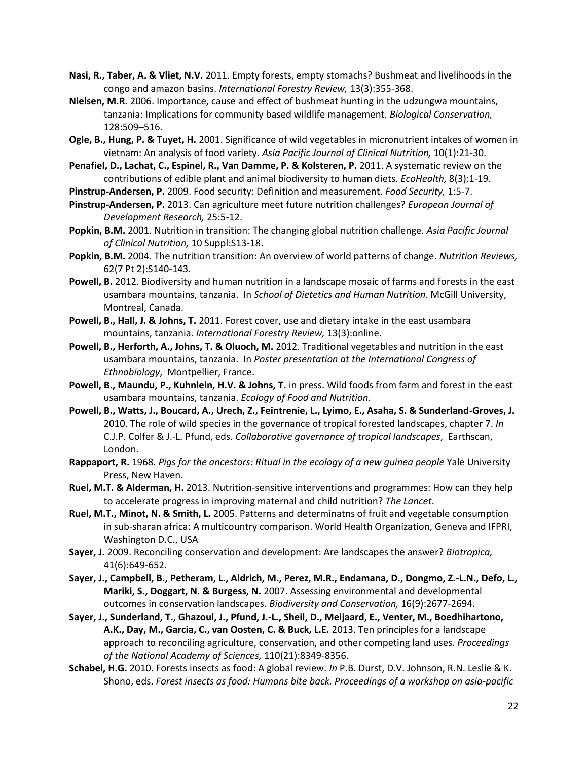- **Nasi, R., Taber, A. & Vliet, N.V.** 2011. Empty forests, empty stomachs? Bushmeat and livelihoods in the congo and amazon basins. *International Forestry Review,* 13(3):355-368.
- **Nielsen, M.R.** 2006. Importance, cause and effect of bushmeat hunting in the udzungwa mountains, tanzania: Implications for community based wildlife management. *Biological Conservation,* 128:509–516.
- **Ogle, B., Hung, P. & Tuyet, H.** 2001. Significance of wild vegetables in micronutrient intakes of women in vietnam: An analysis of food variety. *Asia Pacific Journal of Clinical Nutrition,* 10(1):21-30.
- **Penafiel, D., Lachat, C., Espinel, R., Van Damme, P. & Kolsteren, P.** 2011. A systematic review on the contributions of edible plant and animal biodiversity to human diets. *EcoHealth,* 8(3):1-19.
- **Pinstrup-Andersen, P.** 2009. Food security: Definition and measurement. *Food Security,* 1:5-7.
- **Pinstrup-Andersen, P.** 2013. Can agriculture meet future nutrition challenges? *European Journal of Development Research,* 25:5-12.
- **Popkin, B.M.** 2001. Nutrition in transition: The changing global nutrition challenge. *Asia Pacific Journal of Clinical Nutrition,* 10 Suppl:S13-18.
- **Popkin, B.M.** 2004. The nutrition transition: An overview of world patterns of change. *Nutrition Reviews,* 62(7 Pt 2):S140-143.
- **Powell, B.** 2012. Biodiversity and human nutrition in a landscape mosaic of farms and forests in the east usambara mountains, tanzania. In *School of Dietetics and Human Nutrition*. McGill University, Montreal, Canada.
- **Powell, B., Hall, J. & Johns, T.** 2011. Forest cover, use and dietary intake in the east usambara mountains, tanzania. *International Forestry Review,* 13(3):online.
- **Powell, B., Herforth, A., Johns, T. & Oluoch, M.** 2012. Traditional vegetables and nutrition in the east usambara mountains, tanzania. In *Poster presentation at the International Congress of Ethnobiology*, Montpellier, France.
- **Powell, B., Maundu, P., Kuhnlein, H.V. & Johns, T.** in press. Wild foods from farm and forest in the east usambara mountains, tanzania. *Ecology of Food and Nutrition*.
- **Powell, B., Watts, J., Boucard, A., Urech, Z., Feintrenie, L., Lyimo, E., Asaha, S. & Sunderland-Groves, J.** 2010. The role of wild species in the governance of tropical forested landscapes, chapter 7. *In* C.J.P. Colfer & J.-L. Pfund, eds. *Collaborative governance of tropical landscapes*, Earthscan, London.
- **Rappaport, R.** 1968. *Pigs for the ancestors: Ritual in the ecology of a new guinea people* Yale University Press, New Haven.
- **Ruel, M.T. & Alderman, H.** 2013. Nutrition-sensitive interventions and programmes: How can they help to accelerate progress in improving maternal and child nutrition? *The Lancet*.
- **Ruel, M.T., Minot, N. & Smith, L.** 2005. Patterns and determinatns of fruit and vegetable consumption in sub-sharan africa: A multicountry comparison. World Health Organization, Geneva and IFPRI, Washington D.C., USA
- **Sayer, J.** 2009. Reconciling conservation and development: Are landscapes the answer? *Biotropica,* 41(6):649-652.
- **Sayer, J., Campbell, B., Petheram, L., Aldrich, M., Perez, M.R., Endamana, D., Dongmo, Z.-L.N., Defo, L., Mariki, S., Doggart, N. & Burgess, N.** 2007. Assessing environmental and developmental outcomes in conservation landscapes. *Biodiversity and Conservation,* 16(9):2677-2694.
- **Sayer, J., Sunderland, T., Ghazoul, J., Pfund, J.-L., Sheil, D., Meijaard, E., Venter, M., Boedhihartono, A.K., Day, M., Garcia, C., van Oosten, C. & Buck, L.E.** 2013. Ten principles for a landscape approach to reconciling agriculture, conservation, and other competing land uses. *Proceedings of the National Academy of Sciences,* 110(21):8349-8356.
- **Schabel, H.G.** 2010. Forests insects as food: A global review. *In* P.B. Durst, D.V. Johnson, R.N. Leslie & K. Shono, eds. *Forest insects as food: Humans bite back. Proceedings of a workshop on asia-pacific*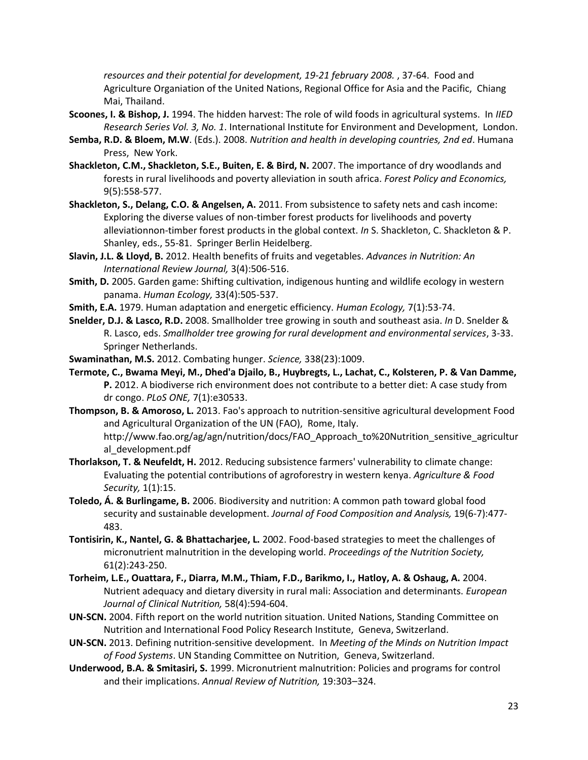*resources and their potential for development, 19-21 february 2008.* , 37-64. Food and Agriculture Organiation of the United Nations, Regional Office for Asia and the Pacific, Chiang Mai, Thailand.

- **Scoones, I. & Bishop, J.** 1994. The hidden harvest: The role of wild foods in agricultural systems. In *IIED Research Series Vol. 3, No. 1*. International Institute for Environment and Development, London.
- **Semba, R.D. & Bloem, M.W**. (Eds.). 2008. *Nutrition and health in developing countries, 2nd ed*. Humana Press, New York.
- **Shackleton, C.M., Shackleton, S.E., Buiten, E. & Bird, N.** 2007. The importance of dry woodlands and forests in rural livelihoods and poverty alleviation in south africa. *Forest Policy and Economics,* 9(5):558-577.
- **Shackleton, S., Delang, C.O. & Angelsen, A.** 2011. From subsistence to safety nets and cash income: Exploring the diverse values of non-timber forest products for livelihoods and poverty alleviationnon-timber forest products in the global context. *In* S. Shackleton, C. Shackleton & P. Shanley, eds., 55-81. Springer Berlin Heidelberg.
- **Slavin, J.L. & Lloyd, B.** 2012. Health benefits of fruits and vegetables. *Advances in Nutrition: An International Review Journal,* 3(4):506-516.
- **Smith, D.** 2005. Garden game: Shifting cultivation, indigenous hunting and wildlife ecology in western panama. *Human Ecology,* 33(4):505-537.
- **Smith, E.A.** 1979. Human adaptation and energetic efficiency. *Human Ecology,* 7(1):53-74.
- **Snelder, D.J. & Lasco, R.D.** 2008. Smallholder tree growing in south and southeast asia. *In* D. Snelder & R. Lasco, eds. *Smallholder tree growing for rural development and environmental services*, 3-33. Springer Netherlands.
- **Swaminathan, M.S.** 2012. Combating hunger. *Science,* 338(23):1009.
- **Termote, C., Bwama Meyi, M., Dhed'a Djailo, B., Huybregts, L., Lachat, C., Kolsteren, P. & Van Damme, P.** 2012. A biodiverse rich environment does not contribute to a better diet: A case study from dr congo. *PLoS ONE,* 7(1):e30533.
- **Thompson, B. & Amoroso, L.** 2013. Fao's approach to nutrition-sensitive agricultural development Food and Agricultural Organization of the UN (FAO), Rome, Italy. http://www.fao.org/ag/agn/nutrition/docs/FAO\_Approach\_to%20Nutrition\_sensitive\_agricultur al development.pdf
- **Thorlakson, T. & Neufeldt, H.** 2012. Reducing subsistence farmers' vulnerability to climate change: Evaluating the potential contributions of agroforestry in western kenya. *Agriculture & Food Security,* 1(1):15.
- **Toledo, Á. & Burlingame, B.** 2006. Biodiversity and nutrition: A common path toward global food security and sustainable development. *Journal of Food Composition and Analysis,* 19(6-7):477- 483.
- **Tontisirin, K., Nantel, G. & Bhattacharjee, L.** 2002. Food-based strategies to meet the challenges of micronutrient malnutrition in the developing world. *Proceedings of the Nutrition Society,* 61(2):243-250.
- **Torheim, L.E., Ouattara, F., Diarra, M.M., Thiam, F.D., Barikmo, I., Hatloy, A. & Oshaug, A.** 2004. Nutrient adequacy and dietary diversity in rural mali: Association and determinants. *European Journal of Clinical Nutrition,* 58(4):594-604.
- **UN-SCN.** 2004. Fifth report on the world nutrition situation. United Nations, Standing Committee on Nutrition and International Food Policy Research Institute, Geneva, Switzerland.
- **UN-SCN.** 2013. Defining nutrition-sensitive development. In *Meeting of the Minds on Nutrition Impact of Food Systems*. UN Standing Committee on Nutrition, Geneva, Switzerland.
- **Underwood, B.A. & Smitasiri, S.** 1999. Micronutrient malnutrition: Policies and programs for control and their implications. *Annual Review of Nutrition,* 19:303–324.